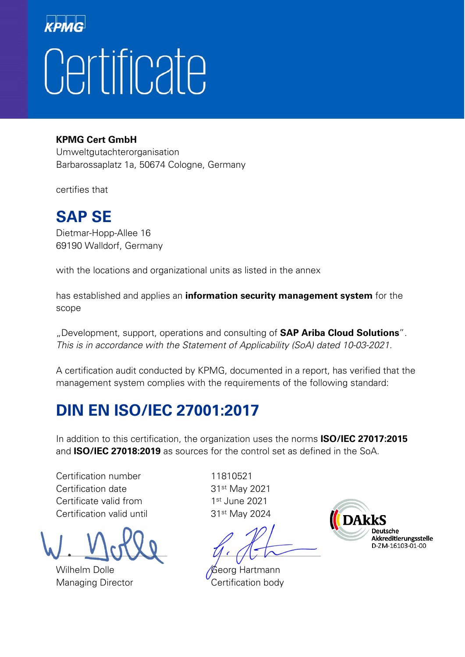# Certificate

#### **KPMG Cert GmbH**

Umweltgutachterorganisation Barbarossaplatz 1a, 50674 Cologne, Germany

certifies that

#### **SAP SE**

Dietmar-Hopp-Allee 16 69190 Walldorf, Germany

with the locations and organizational units as listed in the annex

has established and applies an **information security management system** for the scope

"Development, support, operations and consulting of **SAP Ariba Cloud Solutions**". This is in accordance with the Statement of Applicability (SoA) dated 10-03-2021.

A certification audit conducted by KPMG, documented in a report, has verified that the management system complies with the requirements of the following standard:

### **DIN EN ISO/IEC 27001:2017**

In addition to this certification, the organization uses the norms **ISO/IEC 27017:2015** and **ISO/IEC 27018:2019** as sources for the control set as defined in the SoA.

Certification number 11810521 Certification date 31<sup>st</sup> May 2021 Certificate valid from 1st June 2021 Certification valid until 31<sup>st</sup> May 2024

Wilhelm Dolle Georg Hartmann

 $\Box$ 

Managing Director **Certification body** 

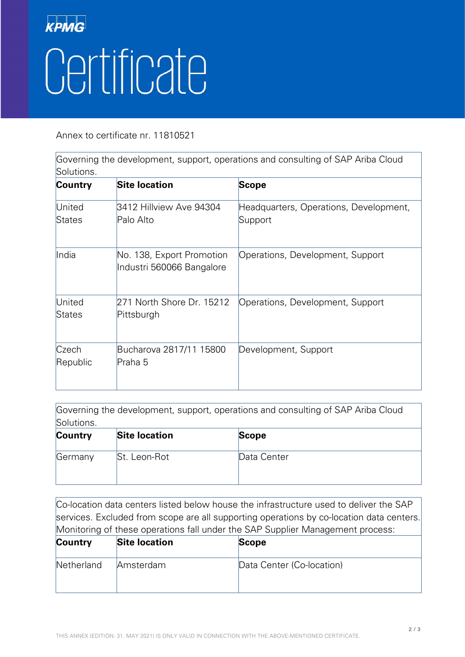## **KPMG** Certificate

Annex to certificate nr. 11810521

Governing the development, support, operations and consulting of SAP Ariba Cloud Solutions.

| Country           | <b>Site location</b>                                   | <b>Scope</b>                                      |
|-------------------|--------------------------------------------------------|---------------------------------------------------|
| United<br>States  | 3412 Hillview Ave 94304<br>Palo Alto                   | Headquarters, Operations, Development,<br>Support |
| India             | No. 138, Export Promotion<br>Industri 560066 Bangalore | Operations, Development, Support                  |
| United<br>States  | 271 North Shore Dr. 15212<br>Pittsburgh                | Operations, Development, Support                  |
| Czech<br>Republic | Bucharova 2817/11 15800<br>Praha 5                     | Development, Support                              |

Governing the development, support, operations and consulting of SAP Ariba Cloud Solutions. **Country Site location Scope** Germany St. Leon-Rot Data Center

Co-location data centers listed below house the infrastructure used to deliver the SAP services. Excluded from scope are all supporting operations by co-location data centers. Monitoring of these operations fall under the SAP Supplier Management process:

| <b>Country</b> | <b>Site location</b> | <b>Scope</b>              |
|----------------|----------------------|---------------------------|
| Netherland     | Amsterdam            | Data Center (Co-location) |